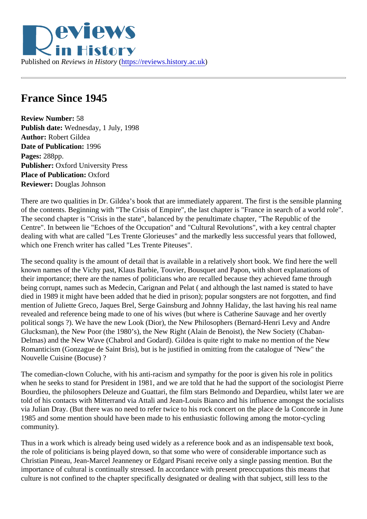## France Since 1945

Review Number: 58 Publish date: Wednesday, 1 July, 1998 Author: Robert Gildea Date of Publication: 1996 Pages: 288pp. Publisher: Oxford University Press Place of Publication: Oxford Reviewer: Douglas Johnson

There are two qualities in Dr. Gildea's book that are immediately apparent. The first is the sensible planning of the contents. Beginning with "The Crisis of Empire", the last chapter is "France in search of a world role". The second chapter is "Crisis in the state", balanced by the penultimate chapter, "The Republic of the Centre". In between lie "Echoes of the Occupation" and "Cultural Revolutions", with a key central chapter dealing with what are called "Les Trente Glorieuses" and the markedly less successful years that followed, which one French writer has called "Les Trente Piteuses".

The second quality is the amount of detail that is available in a relatively short book. We find here the well known names of the Vichy past, Klaus Barbie, Touvier, Bousquet and Papon, with short explanations of their importance; there are the names of politicians who are recalled because they achieved fame through being corrupt, names such as Medecin, Carignan and Pelat (and although the last named is stated to have died in 1989 it might have been added that he died in prison); popular songsters are not forgotten, and find mention of Juliette Greco, Jaques Brel, Serge Gainsburg and Johnny Haliday, the last having his real name revealed and reference being made to one of his wives (but where is Catherine Sauvage and her overtly political songs ?). We have the new Look (Dior), the New Philosophers (Bernard-Henri Levy and Andre Glucksman), the New Poor (the 1980's), the New Right (Alain de Benoist), the New Society (Chaban-Delmas) and the New Wave (Chabrol and Godard). Gildea is quite right to make no mention of the New Romanticism (Gonzague de Saint Bris), but is he justified in omitting from the catalogue of "New" the Nouvelle Cuisine (Bocuse) ?

The comedian-clown Coluche, with his anti-racism and sympathy for the poor is given his role in politics when he seeks to stand for President in 1981, and we are told that he had the support of the sociologist P Bourdieu, the philosophers Deleuze and Guattari, the film stars Belmondo and Depardieu, whilst later we a told of his contacts with Mitterrand via Attali and Jean-Louis Bianco and his influence amongst the socialis via Julian Dray. (But there was no need to refer twice to his rock concert on the place de la Concorde in June 1985 and some mention should have been made to his enthusiastic following among the motor-cycling community).

Thus in a work which is already being used widely as a reference book and as an indispensable text book, the role of politicians is being played down, so that some who were of considerable importance such as Christian Pineau, Jean-Marcel Jeanneney or Edgard Pisani receive only a single passing mention. But the importance of cultural is continually stressed. In accordance with present preoccupations this means that culture is not confined to the chapter specifically designated or dealing with that subject, still less to the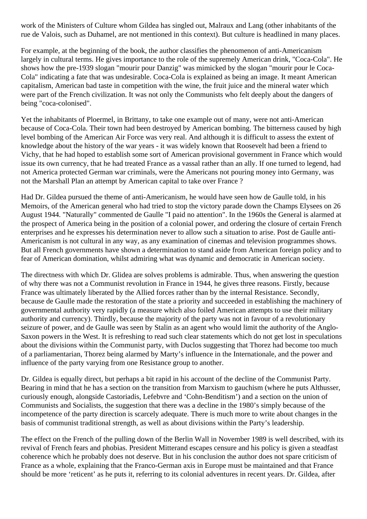work of the Ministers of Culture whom Gildea has singled out, Malraux and Lang (other inhabitants of the rue de Valois, such as Duhamel, are not mentioned in this context). But culture is headlined in many places.

For example, at the beginning of the book, the author classifies the phenomenon of anti-Americanism largely in cultural terms. He gives importance to the role of the supremely American drink, "Coca-Cola". He shows how the pre-1939 slogan "mourir pour Danzig" was mimicked by the slogan "mourir pour le Coca-Cola" indicating a fate that was undesirable. Coca-Cola is explained as being an image. It meant American capitalism, American bad taste in competition with the wine, the fruit juice and the mineral water which were part of the French civilization. It was not only the Communists who felt deeply about the dangers of being "coca-colonised".

Yet the inhabitants of Ploermel, in Brittany, to take one example out of many, were not anti-American because of Coca-Cola. Their town had been destroyed by American bombing. The bitterness caused by high level bombing of the American Air Force was very real. And although it is difficult to assess the extent of knowledge about the history of the war years - it was widely known that Roosevelt had been a friend to Vichy, that he had hoped to establish some sort of American provisional government in France which would issue its own currency, that he had treated France as a vassal rather than an ally. If one turned to legend, had not America protected German war criminals, were the Americans not pouring money into Germany, was not the Marshall Plan an attempt by American capital to take over France ?

Had Dr. Gildea pursued the theme of anti-Americanism, he would have seen how de Gaulle told, in his Memoirs, of the American general who had tried to stop the victory parade down the Champs Elysees on 26 August 1944. "Naturally" commented de Gaulle "I paid no attention". In the 1960s the General is alarmed at the prospect of America being in the position of a colonial power, and ordering the closure of certain French enterprises and he expresses his determination never to allow such a situation to arise. Post de Gaulle anti-Americanism is not cultural in any way, as any examination of cinemas and television programmes shows. But all French governments have shown a determination to stand aside from American foreign policy and to fear of American domination, whilst admiring what was dynamic and democratic in American society.

The directness with which Dr. Glidea are solves problems is admirable. Thus, when answering the question of why there was not a Communist revolution in France in 1944, he gives three reasons. Firstly, because France was ultimately liberated by the Allied forces rather than by the internal Resistance. Secondly, because de Gaulle made the restoration of the state a priority and succeeded in establishing the machinery of governmental authority very rapidly (a measure which also foiled American attempts to use their military authority and currency). Thirdly, because the majority of the party was not in favour of a revolutionary seizure of power, and de Gaulle was seen by Stalin as an agent who would limit the authority of the Anglo-Saxon powers in the West. It is refreshing to read such clear statements which do not get lost in speculations about the divisions within the Communist party, with Duclos suggesting that Thorez had become too much of a parliamentarian, Thorez being alarmed by Marty's influence in the Internationale, and the power and influence of the party varying from one Resistance group to another.

Dr. Gildea is equally direct, but perhaps a bit rapid in his account of the decline of the Communist Party. Bearing in mind that he has a section on the transition from Marxism to gauchism (where he puts Althusser, curiously enough, alongside Castoriadis, Lefebvre and 'Cohn-Benditism') and a section on the union of Communists and Socialists, the suggestion that there was a decline in the 1980's simply because of the incompetence of the party direction is scarcely adequate. There is much more to write about changes in the basis of communist traditional strength, as well as about divisions within the Party's leadership.

The effect on the French of the pulling down of the Berlin Wall in November 1989 is well described, with its revival of French fears and phobias. President Mitterand escapes censure and his policy is given a steadfast coherence which he probably does not deserve. But in his conclusion the author does not spare criticism of France as a whole, explaining that the Franco-German axis in Europe must be maintained and that France should be more 'reticent' as he puts it, referring to its colonial adventures in recent years. Dr. Gildea, after